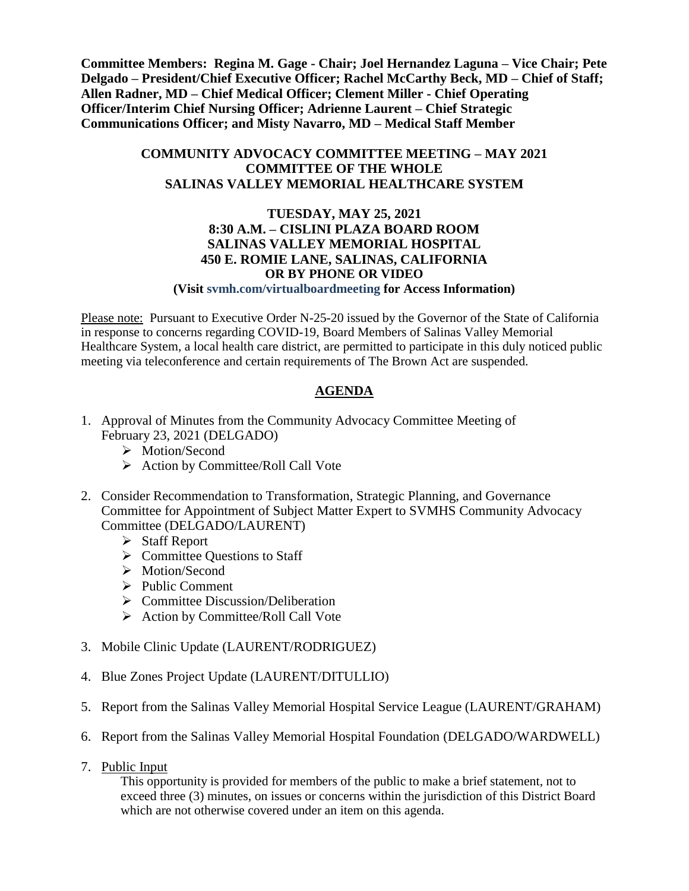**Committee Members: Regina M. Gage - Chair; Joel Hernandez Laguna – Vice Chair; Pete Delgado – President/Chief Executive Officer; Rachel McCarthy Beck, MD – Chief of Staff; Allen Radner, MD – Chief Medical Officer; Clement Miller - Chief Operating Officer/Interim Chief Nursing Officer; Adrienne Laurent – Chief Strategic Communications Officer; and Misty Navarro, MD – Medical Staff Member**

## **COMMUNITY ADVOCACY COMMITTEE MEETING – MAY 2021 COMMITTEE OF THE WHOLE SALINAS VALLEY MEMORIAL HEALTHCARE SYSTEM**

## **TUESDAY, MAY 25, 2021 8:30 A.M. – CISLINI PLAZA BOARD ROOM SALINAS VALLEY MEMORIAL HOSPITAL 450 E. ROMIE LANE, SALINAS, CALIFORNIA OR BY PHONE OR VIDEO**

**(Visit svmh.com/virtualboardmeeting for Access Information)**

Please note: Pursuant to Executive Order N-25-20 issued by the Governor of the State of California in response to concerns regarding COVID-19, Board Members of Salinas Valley Memorial Healthcare System, a local health care district, are permitted to participate in this duly noticed public meeting via teleconference and certain requirements of The Brown Act are suspended.

## **AGENDA**

- 1. Approval of Minutes from the Community Advocacy Committee Meeting of February 23, 2021 (DELGADO)
	- > Motion/Second
	- $\triangleright$  Action by Committee/Roll Call Vote
- 2. Consider Recommendation to Transformation, Strategic Planning, and Governance Committee for Appointment of Subject Matter Expert to SVMHS Community Advocacy Committee (DELGADO/LAURENT)
	- $\triangleright$  Staff Report
	- $\triangleright$  Committee Ouestions to Staff
	- > Motion/Second
	- $\triangleright$  Public Comment
	- $\triangleright$  Committee Discussion/Deliberation
	- $\triangleright$  Action by Committee/Roll Call Vote
- 3. Mobile Clinic Update (LAURENT/RODRIGUEZ)
- 4. Blue Zones Project Update (LAURENT/DITULLIO)
- 5. Report from the Salinas Valley Memorial Hospital Service League (LAURENT/GRAHAM)
- 6. Report from the Salinas Valley Memorial Hospital Foundation (DELGADO/WARDWELL)
- 7. Public Input

This opportunity is provided for members of the public to make a brief statement, not to exceed three (3) minutes, on issues or concerns within the jurisdiction of this District Board which are not otherwise covered under an item on this agenda.